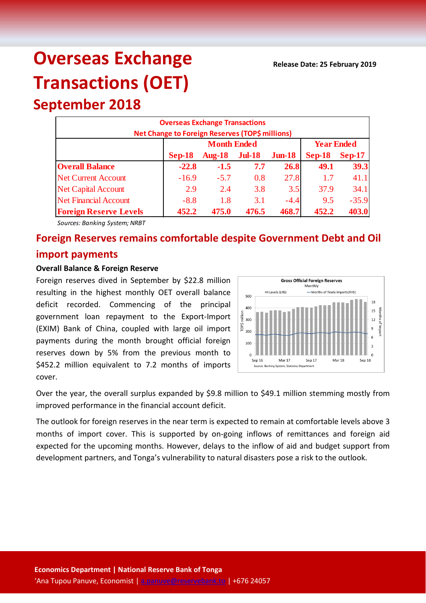# **Overseas Exchange Transactions (OET)**

**September 2018**

|                               | <b>Overseas Exchange Transactions</b>           |                    |                   |           |          |          |
|-------------------------------|-------------------------------------------------|--------------------|-------------------|-----------|----------|----------|
|                               | Net Change to Foreign Reserves (TOP\$ millions) |                    |                   |           |          |          |
|                               |                                                 | <b>Month Ended</b> | <b>Year Ended</b> |           |          |          |
|                               | $Sep-18$                                        | <b>Aug-18</b>      | $Jul-18$          | $J$ un-18 | $Sep-18$ | $Sep-17$ |
| <b>Overall Balance</b>        | $-22.8$                                         | $-1.5$             | 7.7               | 26.8      | 49.1     | 39.3     |
| <b>Net Current Account</b>    | $-16.9$                                         | $-5.7$             | 0.8               | 27.8      | 1.7      | 41.1     |
| <b>Net Capital Account</b>    | 2.9                                             | 2.4                | 3.8               | 3.5       | 37.9     | 34.1     |
| <b>Net Financial Account</b>  | $-8.8$                                          | 1.8                | 3.1               | $-4.4$    | 9.5      | $-35.9$  |
| <b>Foreign Reserve Levels</b> | 452.2                                           | 475.0              | 476.5             | 468.7     | 452.2    | 403.0    |

*Sources: Banking System; NRBT*

## **Foreign Reserves remains comfortable despite Government Debt and Oil import payments**

#### **Overall Balance & Foreign Reserve**

Foreign reserves dived in September by \$22.8 million resulting in the highest monthly OET overall balance deficit recorded. Commencing of the principal government loan repayment to the Export-Import (EXIM) Bank of China, coupled with large oil import payments during the month brought official foreign reserves down by 5% from the previous month to \$452.2 million equivalent to 7.2 months of imports cover.



Over the year, the overall surplus expanded by \$9.8 million to \$49.1 million stemming mostly from improved performance in the financial account deficit.

The outlook for foreign reserves in the near term is expected to remain at comfortable levels above 3 months of import cover. This is supported by on-going inflows of remittances and foreign aid expected for the upcoming months. However, delays to the inflow of aid and budget support from development partners, and Tonga's vulnerability to natural disasters pose a risk to the outlook.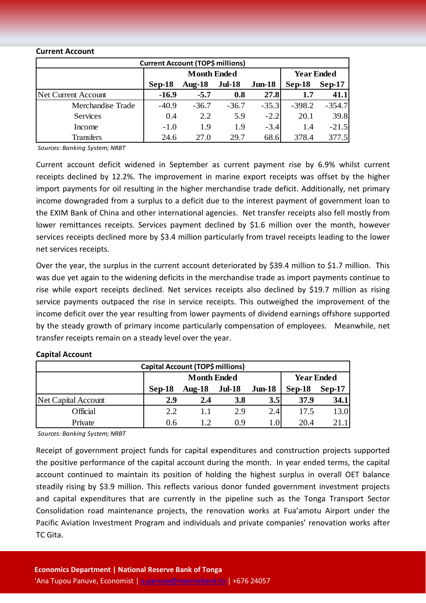#### **Current Account**

| <b>Current Account (TOP\$ millions)</b> |                    |           |               |           |                   |          |  |
|-----------------------------------------|--------------------|-----------|---------------|-----------|-------------------|----------|--|
|                                         | <b>Month Ended</b> |           |               |           | <b>Year Ended</b> |          |  |
|                                         | $Sep-18$           | Aug- $18$ | <b>Jul-18</b> | $J$ un-18 | $Sep-18$          | $Sep-17$ |  |
| Net Current Account                     | $-16.9$            | $-5.7$    | 0.8           | 27.8      | 1.7               | 41.1     |  |
| Merchandise Trade                       | $-40.9$            | $-36.7$   | $-36.7$       | $-35.3$   | $-398.2$          | $-354.7$ |  |
| <b>Services</b>                         | 0.4                | 2.2       | 5.9           | $-2.2$    | 20.1              | 39.8     |  |
| Income                                  | $-1.0$             | 1.9       | 1.9           | $-3.4$    | 1.4               | $-21.5$  |  |
| <b>Transfers</b>                        | 24.6               | 27.0      | 29.7          | 68.6      | 378.4             | 377.5    |  |

*Sources: Banking System; NRBT*

Current account deficit widened in September as current payment rise by 6.9% whilst current receipts declined by 12.2%. The improvement in marine export receipts was offset by the higher import payments for oil resulting in the higher merchandise trade deficit. Additionally, net primary income downgraded from a surplus to a deficit due to the interest payment of government loan to the EXIM Bank of China and other international agencies. Net transfer receipts also fell mostly from lower remittances receipts. Services payment declined by \$1.6 million over the month, however services receipts declined more by \$3.4 million particularly from travel receipts leading to the lower net services receipts.

Over the year, the surplus in the current account deteriorated by \$39.4 million to \$1.7 million. This was due yet again to the widening deficits in the merchandise trade as import payments continue to rise while export receipts declined. Net services receipts also declined by \$19.7 million as rising service payments outpaced the rise in service receipts. This outweighed the improvement of the income deficit over the year resulting from lower payments of dividend earnings offshore supported by the steady growth of primary income particularly compensation of employees. Meanwhile, net transfer receipts remain on a steady level over the year.

#### **Capital Account**

| Capital Account (TOP\$ millions) |          |                    |               |           |          |                   |  |
|----------------------------------|----------|--------------------|---------------|-----------|----------|-------------------|--|
|                                  |          | <b>Month Ended</b> |               |           |          | <b>Year Ended</b> |  |
|                                  | $Sep-18$ | Aug- $18$          | <b>Jul-18</b> | $J$ un-18 | $Sep-18$ | $Sep-17$          |  |
| Net Capital Account              | 2.9      | 2.4                | <b>3.8</b>    | 3.5       | 37.9     | 34.1              |  |
| Official                         | 2.2      | 11                 | 2.9           | 2.4       | 17.5     | 13.0              |  |
| Private                          | 0.6      |                    | 0.9           | $1.0\,$   | 20.4     | 21.1              |  |

*Sources: Banking System; NRBT*

Receipt of government project funds for capital expenditures and construction projects supported the positive performance of the capital account during the month. In year ended terms, the capital account continued to maintain its position of holding the highest surplus in overall OET balance steadily rising by \$3.9 million. This reflects various donor funded government investment projects and capital expenditures that are currently in the pipeline such as the Tonga Transport Sector Consolidation road maintenance projects, the renovation works at Fua'amotu Airport under the Pacific Aviation Investment Program and individuals and private companies' renovation works after TC Gita.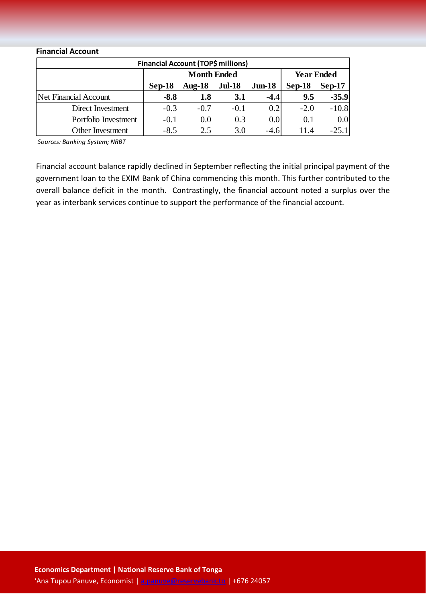### **Financial Account**

| <b>Financial Account (TOP\$ millions)</b> |        |                    |                   |           |          |          |  |
|-------------------------------------------|--------|--------------------|-------------------|-----------|----------|----------|--|
|                                           |        | <b>Month Ended</b> | <b>Year Ended</b> |           |          |          |  |
|                                           | Sep-18 | Aug- $18$          | <b>Jul-18</b>     | $J$ un-18 | $Sep-18$ | $Sep-17$ |  |
| Net Financial Account                     | $-8.8$ | 1.8                | <b>3.1</b>        | $-4.4$    | 9.5      | $-35.9$  |  |
| Direct Investment                         | $-0.3$ | $-0.7$             | $-0.1$            | 0.2       | $-2.0$   | $-10.8$  |  |
| Portfolio Investment                      | $-0.1$ | 0.0                | 0.3               | 0.0       | 0.1      | 0.0      |  |
| <b>Other Investment</b>                   | $-8.5$ | 2.5                | 3.0               | $-4.6$    | 11.4     | $-25.1$  |  |

*Sources: Banking System; NRBT*

Financial account balance rapidly declined in September reflecting the initial principal payment of the government loan to the EXIM Bank of China commencing this month. This further contributed to the overall balance deficit in the month. Contrastingly, the financial account noted a surplus over the year as interbank services continue to support the performance of the financial account.